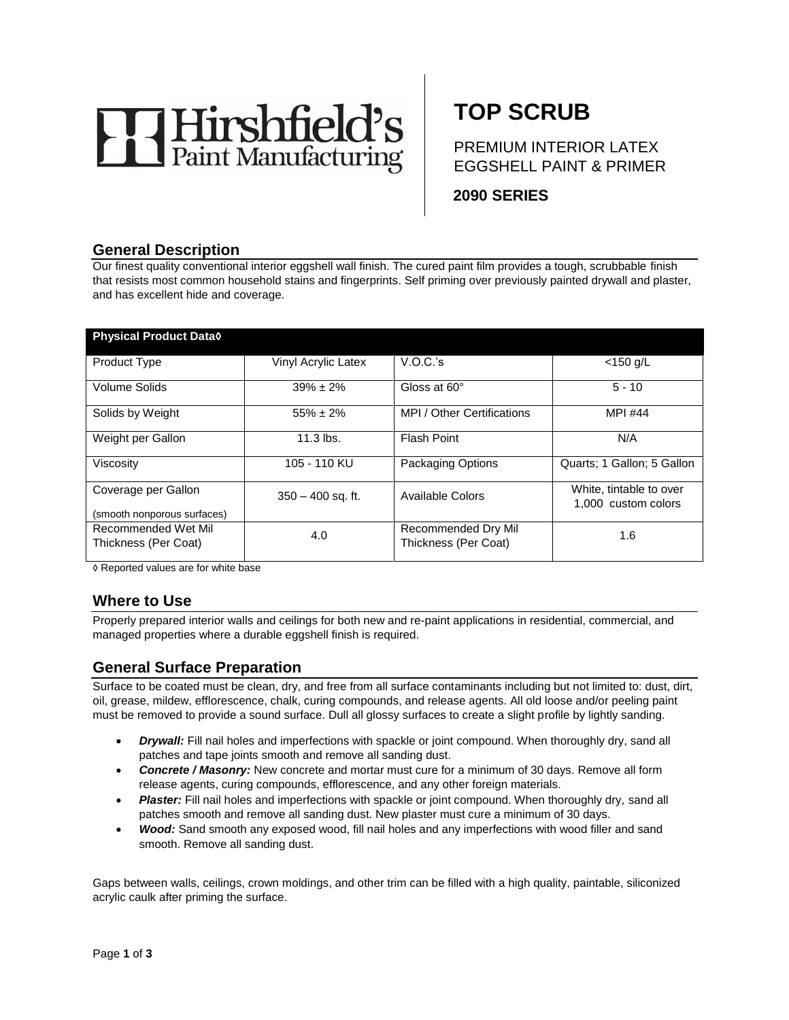

# **TOP SCRUB**

PREMIUM INTERIOR LATEX EGGSHELL PAINT & PRIMER

**2090 SERIES** 

# **General Description**

Our finest quality conventional interior eggshell wall finish. The cured paint film provides a tough, scrubbable finish that resists most common household stains and fingerprints. Self priming over previously painted drywall and plaster, and has excellent hide and coverage.

| <b>Physical Product Datao</b> |                     |                            |                            |  |
|-------------------------------|---------------------|----------------------------|----------------------------|--|
|                               |                     |                            |                            |  |
| <b>Product Type</b>           | Vinyl Acrylic Latex | V.O.C.'s                   | $<$ 150 g/L                |  |
|                               |                     |                            |                            |  |
| Volume Solids                 | $39\% \pm 2\%$      | Gloss at 60°               | $5 - 10$                   |  |
| Solids by Weight              | $55\% \pm 2\%$      | MPI / Other Certifications | <b>MPI #44</b>             |  |
|                               |                     |                            |                            |  |
| Weight per Gallon             | $11.3$ lbs.         | <b>Flash Point</b>         | N/A                        |  |
|                               |                     |                            |                            |  |
| Viscosity                     | 105 - 110 KU        | <b>Packaging Options</b>   | Quarts; 1 Gallon; 5 Gallon |  |
|                               |                     |                            |                            |  |
| Coverage per Gallon           | $350 - 400$ sq. ft. | Available Colors           | White, tintable to over    |  |
|                               |                     |                            | 1.000 custom colors        |  |
| (smooth nonporous surfaces)   |                     |                            |                            |  |
| Recommended Wet Mil           | 4.0                 | Recommended Dry Mil        | 1.6                        |  |
| Thickness (Per Coat)          |                     | Thickness (Per Coat)       |                            |  |
|                               |                     |                            |                            |  |

◊ Reported values are for white base

# **Where to Use**

Properly prepared interior walls and ceilings for both new and re-paint applications in residential, commercial, and managed properties where a durable eggshell finish is required.

## **General Surface Preparation**

Surface to be coated must be clean, dry, and free from all surface contaminants including but not limited to: dust, dirt, oil, grease, mildew, efflorescence, chalk, curing compounds, and release agents. All old loose and/or peeling paint must be removed to provide a sound surface. Dull all glossy surfaces to create a slight profile by lightly sanding.

- *Drywall:* Fill nail holes and imperfections with spackle or joint compound. When thoroughly dry, sand all patches and tape joints smooth and remove all sanding dust.
- *Concrete / Masonry:* New concrete and mortar must cure for a minimum of 30 days. Remove all form release agents, curing compounds, efflorescence, and any other foreign materials.
- Plaster: Fill nail holes and imperfections with spackle or joint compound. When thoroughly dry, sand all patches smooth and remove all sanding dust. New plaster must cure a minimum of 30 days.
- *Wood:* Sand smooth any exposed wood, fill nail holes and any imperfections with wood filler and sand smooth. Remove all sanding dust.

Gaps between walls, ceilings, crown moldings, and other trim can be filled with a high quality, paintable, siliconized acrylic caulk after priming the surface.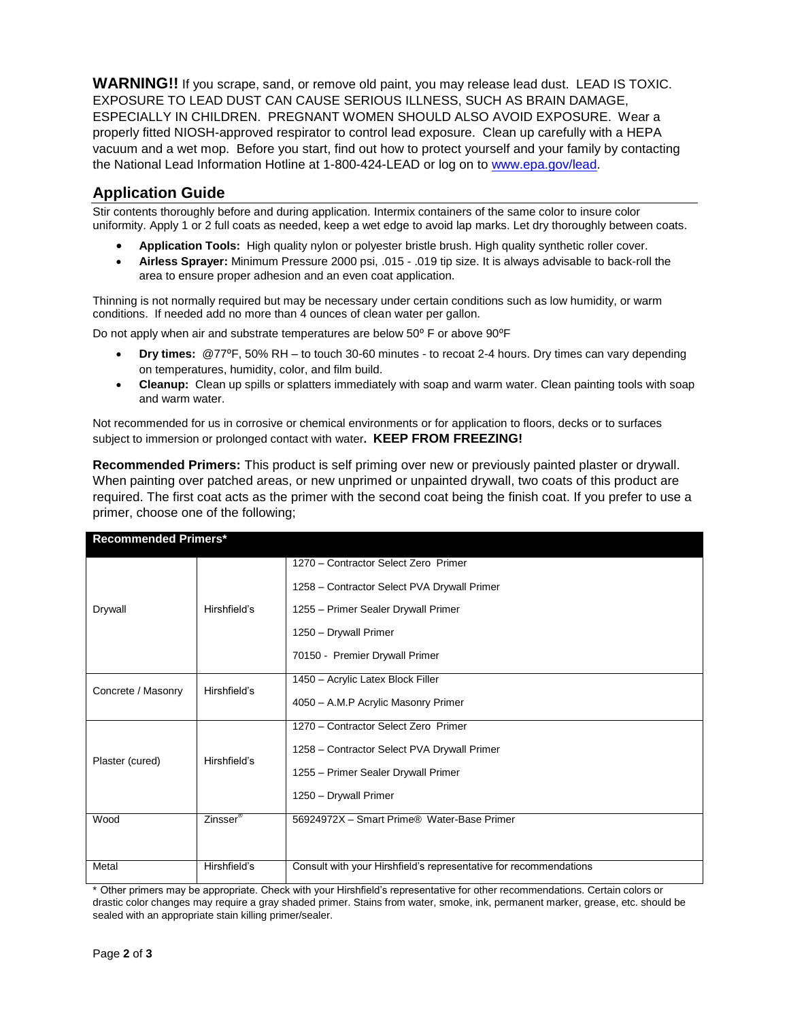**WARNING!!** If you scrape, sand, or remove old paint, you may release lead dust. LEAD IS TOXIC. EXPOSURE TO LEAD DUST CAN CAUSE SERIOUS ILLNESS, SUCH AS BRAIN DAMAGE, ESPECIALLY IN CHILDREN. PREGNANT WOMEN SHOULD ALSO AVOID EXPOSURE. Wear a properly fitted NIOSH-approved respirator to control lead exposure. Clean up carefully with a HEPA vacuum and a wet mop. Before you start, find out how to protect yourself and your family by contacting the National Lead Information Hotline at 1-800-424-LEAD or log on to [www.epa.gov/lead.](http://www.epa.gov/lead)

# **Application Guide**

Stir contents thoroughly before and during application. Intermix containers of the same color to insure color uniformity. Apply 1 or 2 full coats as needed, keep a wet edge to avoid lap marks. Let dry thoroughly between coats.

- **Application Tools:** High quality nylon or polyester bristle brush. High quality synthetic roller cover.
- **Airless Sprayer:** Minimum Pressure 2000 psi, .015 .019 tip size. It is always advisable to back-roll the area to ensure proper adhesion and an even coat application.

Thinning is not normally required but may be necessary under certain conditions such as low humidity, or warm conditions. If needed add no more than 4 ounces of clean water per gallon.

Do not apply when air and substrate temperatures are below 50° F or above 90°F

- **Dry times:** @77⁰F, 50% RH to touch 30-60 minutes to recoat 2-4 hours. Dry times can vary depending on temperatures, humidity, color, and film build.
- **Cleanup:** Clean up spills or splatters immediately with soap and warm water. Clean painting tools with soap and warm water.

Not recommended for us in corrosive or chemical environments or for application to floors, decks or to surfaces subject to immersion or prolonged contact with water**. KEEP FROM FREEZING!**

**Recommended Primers:** This product is self priming over new or previously painted plaster or drywall. When painting over patched areas, or new unprimed or unpainted drywall, two coats of this product are required. The first coat acts as the primer with the second coat being the finish coat. If you prefer to use a primer, choose one of the following;

| <b>Recommended Primers</b> |                      |                                                                   |  |
|----------------------------|----------------------|-------------------------------------------------------------------|--|
| Drywall                    | Hirshfield's         | 1270 - Contractor Select Zero Primer                              |  |
|                            |                      | 1258 - Contractor Select PVA Drywall Primer                       |  |
|                            |                      | 1255 – Primer Sealer Drywall Primer                               |  |
|                            |                      | 1250 - Drywall Primer                                             |  |
|                            |                      | 70150 - Premier Drywall Primer                                    |  |
| Concrete / Masonry         | Hirshfield's         | 1450 - Acrylic Latex Block Filler                                 |  |
|                            |                      | 4050 - A.M.P Acrylic Masonry Primer                               |  |
|                            |                      | 1270 - Contractor Select Zero Primer                              |  |
| Plaster (cured)            | Hirshfield's         | 1258 - Contractor Select PVA Drywall Primer                       |  |
|                            |                      | 1255 - Primer Sealer Drywall Primer                               |  |
|                            |                      | 1250 - Drywall Primer                                             |  |
| Wood                       | Zinsser <sup>®</sup> | 56924972X - Smart Prime® Water-Base Primer                        |  |
|                            |                      |                                                                   |  |
| Metal                      | Hirshfield's         | Consult with your Hirshfield's representative for recommendations |  |

**Recommended Primers\***

\* Other primers may be appropriate. Check with your Hirshfield's representative for other recommendations. Certain colors or drastic color changes may require a gray shaded primer. Stains from water, smoke, ink, permanent marker, grease, etc. should be sealed with an appropriate stain killing primer/sealer.